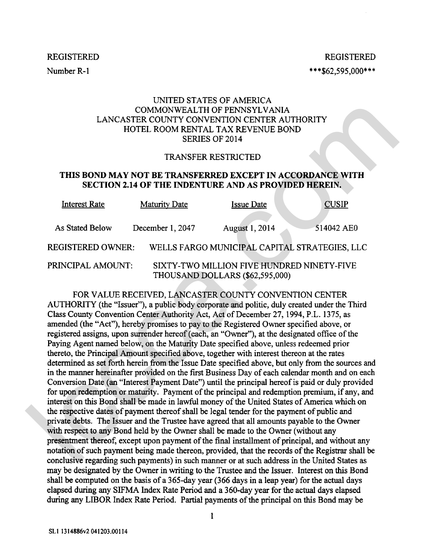Number R-1

**REGISTERED** \*\*\*\$62,595,000\*\*\*

# UNITED STATES OF AMERICA COMMONWEALTH OF PENNSYLVANIA LANCASTER COUNTY CONVENTION CENTER AUTHORITY HOTEL ROOM RENTAL TAX REVENUE BOND SERIES OF 2014

#### TRANSFER RESTRICTED

## **THIS BOND MAY NOT BE TRANSFERRED EXCEPT IN ACCORDANCE WITH SECTION 2.14 OF THE INDENTURE AND AS PROVIDED HEREIN.**

| <b>Interest Rate</b> | <b>Maturity Date</b> | <b>Issue Date</b>                                                             | <b>CUSIP</b>                                  |
|----------------------|----------------------|-------------------------------------------------------------------------------|-----------------------------------------------|
| As Stated Below      | December 1, 2047     | <b>August 1, 2014</b>                                                         | 514042 AE0                                    |
| REGISTERED OWNER:    |                      |                                                                               | WELLS FARGO MUNICIPAL CAPITAL STRATEGIES, LLC |
| PRINCIPAL AMOUNT:    |                      | SIXTY-TWO MILLION FIVE HUNDRED NINETY-FIVE<br>THOUSAND DOLLARS (\$62,595,000) |                                               |

FOR VALUE RECEIVED, LANCASTER COUNTY CONVENTION CENTER AUTHORITY (the "Issuer"), a public body corporate and politic, duly created under the Third Class County Convention Center Authority Act, Act of December 27,1994, P.L. 1375, as amended (the "Act"), hereby promises to pay to the Registered Owner specified above, or registered assigns, upon surrender hereof (each, an "Owner"), at the designated office of the Paying Agent named below, on the Maturity Date specified above, unless redeemed prior thereto, the Principal Amount specified above, together with interest thereon at the rates determined **as** set forth herein from the Issue Date specified above, but only from the sources and in the manner hereinafter provided on the first Business Day of each calendar month and on each Conversion Date (an "Interest Payment Date") until the principal hereof is paid or duly provided for upon redemption or maturity. Payment of the principal and redemption premium, if any, and interest on this Bond shall be made in lawful money of the United States of America which on the respective dates of payment thereof shall be legal tender for the payment of public and private debts. The Issuer and the Trustee have agreed that all amounts payable to the Owner with respect to any Bond held by the Owner shall be made to the Owner (without any presentment thereof, except upon payment of the final installment of principal, and without any notation of such payment being made thereon, provided, that the records of the Registrar shall be conclusive regarding such payments) in such manner or at such address in the United States **as**  may be designated by the Owner in writing to the Trustee and the Issuer. Interest on this Bond shall be computed on the basis of a 365-day year (366 days in a leap year) for the actual days elapsed during any SIFMA Index Rate Period and a 360-day year for the actual days elapsed during any LIBOR Index **Rate** Period. Partial payments of the principal on this Bond may be LANCASTER COINTY CONVEALTION CREATIVE (COMPACTED THE RECEIVED, THE RECEIVED FIRSUE SCALE TAX REVENUE BOND<br>
TRANSFER RESTRICTED<br>
TRIS BOND MAY NOT BE TRANSFERIED EXCEPT IN ACCORDANCE WITH<br>
THIS BOND MAY NOT BE TRANSFERIED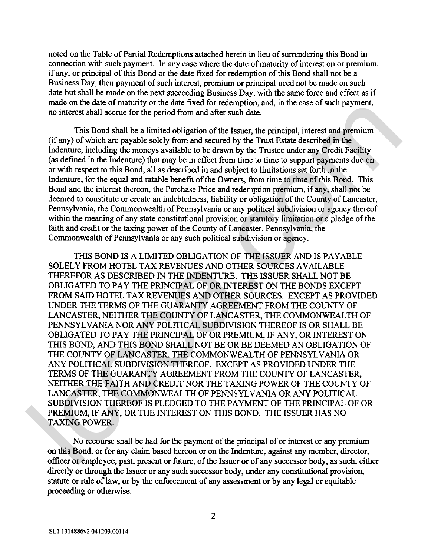noted on the Table of Partial Redemptions attached herein in lieu of surrendering this Bond in connection with such payment. In any case where the date of maturity of interest on or premium, if any, or principal of this Bond or the date fixed for redemption of this Bond shall not be a Business Day, then payment of such interest, premium or principal need not be made on such date but shall be made on the next succeeding Business Day, with the same force and effect as if made on the date of maturity or the date fixed for redemption, and, in the case of such payment, no interest shall accrue for the period from and after such date.

This Bond shall be a limited obligation of the Issuer, the principal, interest and premium (if any) of which are payable solely from and secured by the Trust Estate described in the Indenture, including the moneys available to be drawn by the Trustee under any Credit Facility (as defined in the Indenture) that may be in effect from time to time to support payments due on or with respect to this Bond, all as described in and subject to limitations set forth in the Indenture, for the equal and ratable benefit of the Owners, from time to time of this Bond. This Bond and the interest thereon, the Purchase Price and redemption premium, if any, shall not be deemed to constitute or create an indebtedness, liability or obligation of the County of Lancaster, Pennsylvania, the Commonwealth of Pennsylvania or any political subdivision or agency thereof within the meaning of any state constitutional provision or statutory limitation or a pledge of the faith and credit or the taxing power of the County of Lancaster, Pennsylvania, the Commonwealth of Pennsylvania or any such political subdivision or agency.

THIS BOND IS A LIMITED OBLIGATION OF THE ISSUER AND IS PAYABLE SOLELY FROM HOTEL TAX REVENUES AND OTHER SOURCES AVAILABLE THEREFOR AS DESCRIBED IN THE INDENTURE. THE ISSUER SHALL NOT BE OBLIGATED TO PAY THE PRINCIPAL OF OR INTEREST ON THE BONDS EXCEPT FROM SAID HOTEL TAX REVENUES AND OTHER SOURCES. EXCEPT AS PROVIDED UNDER THE TERMS OF THE GUARANTY AGREEMENT FROM THE COUNTY OF LANCASTER, NEITHER THE COUNTY OF LANCASTER, THE COMMONWEALTH OF PENNSYLVANIA NOR ANY POLITICAL SUBDIVISION THEREOF IS OR SHALL BE OBLIGATED TO PAY THE PRINCIPAL OF OR PREMIUM, IF ANY, OR INTEREST ON THIS BOND, AND THIS BOND SHALL NOT BE OR BE DEEMED AN OBLIGATION OF THE COUNTY OF LANCASTER, THE COMMONWEALTH OF PENNSYLVANIA OR ANY POLITICAL SUBDIVISION THEREOF. EXCEPT AS PROVIDED UNDER THE TERMS OF THE GUARANTY AGREEMENT FROM THE COUNTY OF LANCASTER, NEITHER THE FAITH AND CREDIT NOR THE TAXING POWER OF THE COUNTY OF LANCASTER, THE COMMONWEALTH OF PENNSYLVANIA OR ANY POLITICAL SUBDIVISION THEREOF IS PLEDGED TO THE PAYMENT OF THE PRINCIPAL OF OR PREMIUM, IF ANY, OR THE INTEREST ON THIS BOND. THE ISSUER HAS NO TAXING POWER. mass on the date of mass interest of the pair interest of receiving the state of search and the method and the simulate data (if any of which are payed scale) from and steres the payed the Figure of the passe, the principa

No recourse shall be had for the payment of the principal of or interest or any premium on this Bond, or for any claim based hereon or on the Indenture, against any member, director, officer or employee, past, present or future, of the Issuer or of any successor body, as such, either directly or through the Issuer or any such successor body, under any constitutional provision, statute or rule of law, or by the enforcement of any assessment or by any legal or equitable proceeding or otherwise.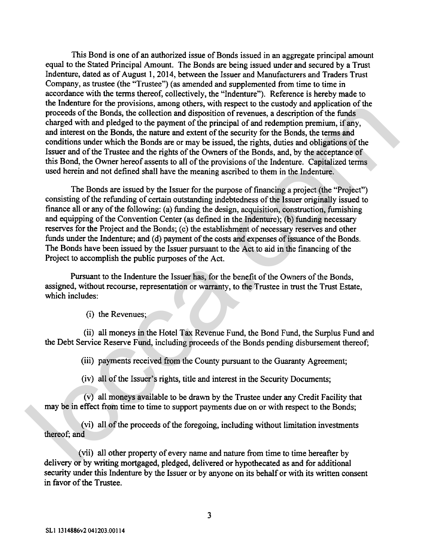This Bond is one of an authorized issue of Bonds issued in an aggregate principal amount equal to the Stated Principal Amount. The Bonds are being issued under and secured by a Trust Indenture, dated as of August 1,2014, between the Issuer and Manufacturers and Traders Trust Company, as trustee (the "Trustee") (as amended and supplemented from time to time in accordance with the terms thereof, collectively, the "Indenture"). Reference is hereby made to the Indenture for the provisions, among others, with respect to the custody and application of the proceeds of the Bonds, the collection and disposition of revenues, a description of the funds charged with and pledged to the payment of the principal of and redemption premium, if any, and interest on the Bonds, the nature and extent of the security for the Bonds, the terms and conditions under which the Bonds are or may be issued, the rights, duties and obligations of the Issuer and of the Trustee and the rights of the Owners of the Bonds, and, by the acceptance of this Bond, the Owner hereof assents to all of the provisions of the Indenture. Capitalized terms used herein and not defined shall have the meaning ascribed to them in the Indenture.

The Bonds are issued by the Issuer for the purpose of financing a project (the "Project") consisting of the refunding of certain outstanding indebtedness of the Issuer originally issued to finance all or any of the following: (a) funding the design, acquisition, construction, furnishing and equipping of the Convention Center (as defined in the Indenture); (b) funding necessary reserves for the Project and the Bonds; (c) the establishment of necessary reserves and other funds under the Indenture; and (d) payment of the costs and expenses of issuance of the Bonds. The Bonds have been issued by the Issuer pursuant to the Act to aid in the financing of the Project to accomplish the public purposes of the Act. incurrent the provisions; among domes, who respect to the existopy and application of the formula phosition of the results and phosition of the formula changed with and phosition and phosition of revenues, a description of

Pursuant to the Indenture the Issuer has, for the benefit of the Owners of the Bonds, assigned, without recourse, representation or warranty, to the Trustee in trust the Trust Estate, which includes:

(i) the Revenues;

(ii) all moneys in the Hotel Tax Revenue Fund, the Bond Fund, the Surplus Fund and the Debt Service Reserve Fund, including proceeds of the Bonds pending disbursement thereof;

(iii) payments received from the County pursuant to the Guaranty Agreement;

(iv) all of the Issuer's rights, title and interest in the Security Documents;

(v) all moneys available to be drawn by the Trustee under any Credit Facility that may be in effect from time to time to support payments due on or with respect to the Bonds;

(vi) all of the proceeds of the foregoing, including without limitation investments thereof; and

(vii) all other property of every name and nature from time to time hereafter by delivery or by writing mortgaged, pledged, delivered or hypothecated as and for additional security under this Indenture by the Issuer or by anyone on its behalf or with its written consent in favor of the Trustee.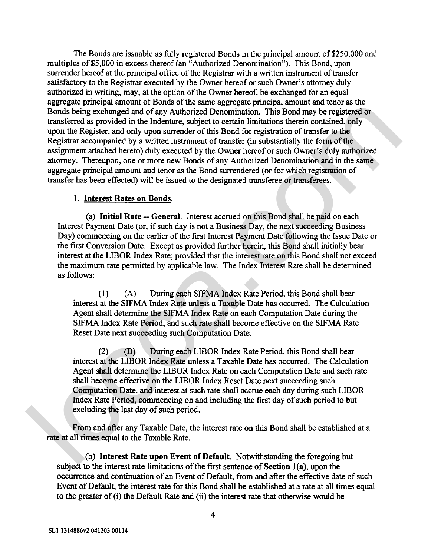The Bonds are issuable as fully registered Bonds in the principal amount of \$250,000 and multiples of \$5,000 in excess thereof (an "Authorized Denomination"). This Bond, upon surrender hereof at the principal office of the Registrar with a written instrument of transfer satisfactory to the Registrar executed by the Owner hereof or such Owner's attorney duly authorized in writing, may, at the option of the Owner hereof, be exchanged for an equal aggregate principal amount of Bonds of the same aggregate principal amount and tenor **as** the Bonds being exchanged and of any Authorized Denomination. This Bond may be registered or transferred **as** provided in the Indenture, subject to certain limitations therein contained, only upon the Register, and only upon surrender of this Bond for registration of transfer to the Registrar accompanied by a written instrument of transfer (in substantially the form of the assignment attached hereto) duly executed by the Owner hereof or such Owner's duly authorized attorney. Thereupon, one or more new Bonds of any Authorized Denomination and in the same aggregate principal amount and tenor as the Bond surrendered (or for which registration of transfer has been effected) will be issued to the designated transferee or transferees. Bonds between the starts of the starts and the starts and the starts and the starts and the starts and only Autorized Determination. This Bond may be registered on<br>two the starts and only towards the function of the start

### 1. **Interest Rates on Bonds.**

(a) **Initial Rate** - **General.** Interest accrued on this Bond shall be paid on each Interest Payment Date (or, if such day is not a Business Day, the next succeeding Business Day) commencing on the earlier of the first Interest Payment Date following the Issue Date or the first Conversion Date. Except as provided further herein, this Bond shall initially bear interest at the LIBOR Index Rate; provided that the interest rate on this Bond shall not exceed the maximum rate permitted by applicable law. The Index Interest Rate shall be determined as follows:

**(1)** (A) During each SIFMA Index Rate Period, this Bond shall bear interest at the SIFMA Index Rate unless a Taxable Date has occurred. The Calculation Agent shall determine the SIFMA Index Rate on each Computation Date during the SIFMA Index Rate Period, and such rate shall become effective on the SIFMA Rate Reset Date next succeeding such Computation Date.

(2) (B) During each LIBOR Index Rate Period, this Bond shall bear interest at the LIBOR Index Rate unless a Taxable Date has occurred. The Calculation Agent shall determine the LIBOR Index Rate on each Computation Date and such rate shall become effective on the LIBOR Index Reset Date next succeeding such Computation Date, and interest at such rate shall accrue each day during such LIBOR Index Rate Period, commencing on and including the first day of such period to but excluding the last day of such period.

From and after any Taxable Date, the interest rate on this Bond shall be established at a rate at all times equal to the Taxable Rate.

**(b) Interest Rate upon Event of Default.** Notwithstanding the foregoing but subject to the interest rate limitations of the first sentence of **Section l(a),** upon the occurrence and continuation of an Event of Default, from and after the effective date of such Event of Default, the interest rate for this Bond shall be established at a rate at all times equal to the greater of (i) the Default Rate and (ii) the interest rate that otherwise would be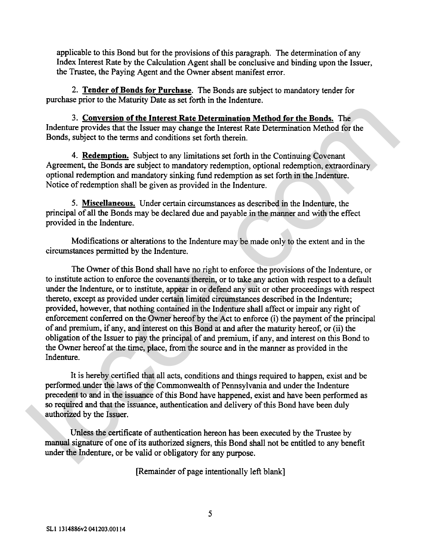applicable to this Bond but for the provisions of this paragraph. The determination of any Index Interest Rate by the Calculation Agent shall be conclusive and binding upon the Issuer, the Trustee, the Paying Agent and the Owner absent manifest error.

**2. Tender of Bonds for Purchase.** The Bonds are subject to mandatory tender for purchase prior to the Maturity Date as set forth in the Indenture.

**3. Conversion of the Interest Rate Determination Method for the Bonds.** The Indenture provides that the Issuer may change the Interest Rate Determination Method for the Bonds, subject to the terms and conditions set forth therein.

4. **Redemption.** Subject to any limitations set forth in the Continuing Covenant Agreement, the Bonds are subject to mandatory redemption, optional redemption, extraordinary optional redemption and mandatory sinking fund redemption as set forth in the Indenture. Notice of redemption shall be given as provided in the Indenture.

**5. Miscellaneous.** Under certain circumstances as described in the Indenture, the principal of all the Bonds may be declared due and payable in the manner and with the effect provided in the Indenture.

Modifications or alterations to the Indenture may be made only to the extent and in the circumstances permitted by the Indenture.

The Owner of this Bond shall have no right to enforce the provisions of the Indenture, or to institute action to enforce the covenants therein, or to take any action with respect to a default under the Indenture, or to institute, appear in or defend any suit or other proceedings with respect thereto, except as provided under certain limited circumstances described in the Indenture; provided, however, that nothing contained in the Indenture shall affect or impair any right of enforcement conferred on the Owner hereof by the Act to enforce (i) the payment of the principal of and premium, if any, and interest on this Bond at and after the maturity hereof, or (ii) the obligation of the Issuer to pay the principal of and premium, if any, and interest on this Bond to the Owner hereof at the time, place, from the source and in the manner as provided in the Indenture. 3. Conversion of the Interest Rate Determination Method for the Bonda. The Indenture provides that the Issuer may change the Interest Rate Determination Method for the Bonds, subject to the terms and conditions set forth

It is hereby certified that all acts, conditions and things required to happen, exist and be performed under the laws of the Commonwealth of Pennsylvania and under the Indenture precedent to and in the issuance of this Bond have happened, exist and have been performed as so required and that the issuance, authentication and delivery of this Bond have been duly authorized by the Issuer.

Unless the certificate of authentication hereon has been executed by the Trustee by manual signature of one of its authorized signers, this Bond shall not be entitled to any benefit under the Indenture, or be valid or obligatory for any purpose.

[Remainder of page intentionally left blank]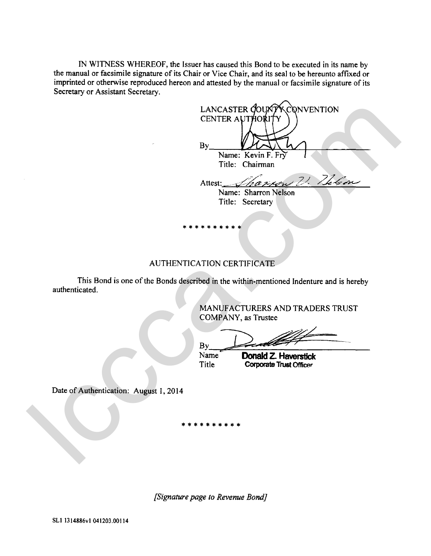IN WITNESS WHEREOF, the Issuer has caused this Bond to be executed in its name by the manual or facsimile signature of its Chair or Vice Chair, and its seal to be hereunto affixed or imprinted or otherwise reproduced hereon and attested by the manual or facsimile signature of its Secretary or Assistant Secretary.

|                                        | LANCASTER COUNTROONVENTION                                                              |
|----------------------------------------|-----------------------------------------------------------------------------------------|
|                                        | CENTER AUTHORITY                                                                        |
|                                        |                                                                                         |
|                                        | By                                                                                      |
|                                        | Name: Kevin F. Fry                                                                      |
|                                        | Title: Chairman                                                                         |
|                                        | Attest: Sharrow V. Telem                                                                |
|                                        |                                                                                         |
|                                        | Name: Sharron Nelson<br>Title: Secretary                                                |
|                                        |                                                                                         |
|                                        |                                                                                         |
|                                        |                                                                                         |
|                                        |                                                                                         |
|                                        |                                                                                         |
|                                        | <b>AUTHENTICATION CERTIFICATE</b>                                                       |
|                                        | This Bond is one of the Bonds described in the within-mentioned Indenture and is hereby |
| authenticated.                         |                                                                                         |
|                                        |                                                                                         |
|                                        | MANUFACTURERS AND TRADERS TRUST                                                         |
|                                        | COMPANY, as Trustee                                                                     |
|                                        |                                                                                         |
|                                        | By                                                                                      |
|                                        | Name<br><b>Donald Z. Haverstick</b>                                                     |
|                                        | <b>Title</b><br><b>Corporate Trust Officer</b>                                          |
|                                        |                                                                                         |
| Date of Authentication: August 1, 2014 |                                                                                         |
|                                        |                                                                                         |
|                                        |                                                                                         |
|                                        |                                                                                         |
|                                        |                                                                                         |
|                                        |                                                                                         |
|                                        |                                                                                         |
|                                        |                                                                                         |

# AUTHENTICATION CERTIFICATE

*[Signature page to Revenue Bond]*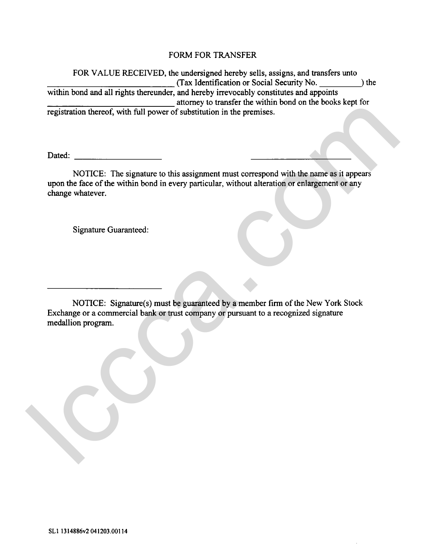# FORM FOR TRANSFER

FOR VALUE RECEIVED, the undersigned hereby sells, assigns, and transfers unto (Tax Identification or Social Security No. ) the within bond and all rights thereunder, and hereby irrevocably constitutes and appoints attorney to transfer the within bond on the books kept for registration thereof, with full power of substitution in the premises.

Dated:

NOTICE: The signature to this assignment must correspond with the name as it appears upon the face of the within bond in every particular, without alteration or enlargement or any change whatever. registration thereor, with full power of substitution in the premises.<br>
MOTICE: The signature to this assignment must correspond with the name as it appears<br>
upon the face of the within bond in every particular, without al

Signature Guaranteed:

NOTICE: Signature(s) must be guaranteed by a member firm of the New York Stock Exchange or a commercial bank or trust company or pursuant to a recognized signature medallion program.